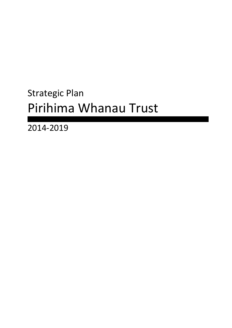# Strategic Plan Pirihima Whanau Trust

2014-2019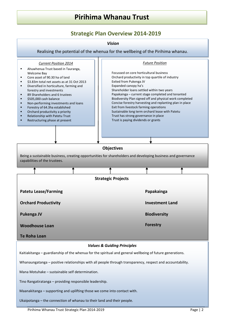### **Strategic Plan Overview 2014-2019**

#### *Vision*

<span id="page-1-0"></span>Realising the potential of the whenua for the wellbeing of the Pirihima whanau.

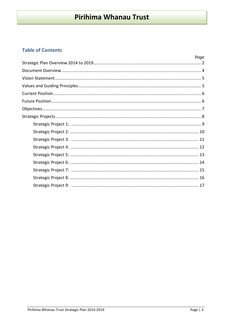### **Table of Contents**

| Page |
|------|
|      |
|      |
|      |
|      |
|      |
|      |
|      |
|      |
|      |
|      |
|      |
|      |
|      |
|      |
|      |
|      |
|      |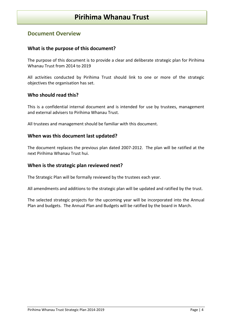#### <span id="page-3-0"></span>**Document Overview**

#### **What is the purpose of this document?**

The purpose of this document is to provide a clear and deliberate strategic plan for Pirihima Whanau Trust from 2014 to 2019

All activities conducted by Pirihima Trust should link to one or more of the strategic objectives the organisation has set.

#### **Who should read this?**

This is a confidential internal document and is intended for use by trustees, management and external advisers to Pirihima Whanau Trust.

All trustees and management should be familiar with this document.

#### **When was this document last updated?**

The document replaces the previous plan dated 2007-2012. The plan will be ratified at the next Pirihima Whanau Trust hui.

#### **When is the strategic plan reviewed next?**

The Strategic Plan will be formally reviewed by the trustees each year.

All amendments and additions to the strategic plan will be updated and ratified by the trust.

The selected strategic projects for the upcoming year will be incorporated into the Annual Plan and budgets. The Annual Plan and Budgets will be ratified by the board in March.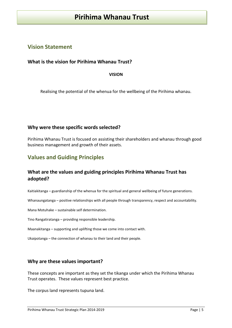#### <span id="page-4-0"></span>**Vision Statement**

#### **What is the vision for Pirihima Whanau Trust?**

**VISION**

Realising the potential of the whenua for the wellbeing of the Pirihima whanau.

#### **Why were these specific words selected?**

Pirihima Whanau Trust is focused on assisting their shareholders and whanau through good business management and growth of their assets.

#### <span id="page-4-1"></span>**Values and Guiding Principles**

#### **What are the values and guiding principles Pirihima Whanau Trust has adopted?**

Kaitiakitanga – guardianship of the whenua for the spiritual and general wellbeing of future generations.

Whanaungatanga – positive relationships with all people through transparency, respect and accountability.

Mana Motuhake – sustainable self determination.

Tino Rangatiratanga – providing responsible leadership.

Maanakitanga – supporting and uplifting those we come into contact with.

Ukaipotanga – the connection of whanau to their land and their people.

#### **Why are these values important?**

These concepts are important as they set the tikanga under which the Pirihima Whanau Trust operates. These values represent best practice.

The corpus land represents tupuna land.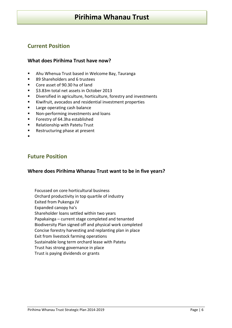### <span id="page-5-0"></span>**Current Position**

#### **What does Pirihima Trust have now?**

- Ahu Whenua Trust based in Welcome Bay, Tauranga
- 89 Shareholders and 6 trustees
- Core asset of 90.30 ha of land
- **53.83m total net assets in October 2013**
- **Diversified in agriculture, horticulture, forestry and investments**
- Kiwifruit, avocados and residential investment properties
- **Large operating cash balance**
- Non-performing investments and loans
- **Forestry of 64.3ha established**
- **Relationship with Patetu Trust**
- Restructuring phase at present
- .

#### <span id="page-5-1"></span>**Future Position**

#### **Where does Pirihima Whanau Trust want to be in five years?**

Focussed on core horticultural business Orchard productivity in top quartile of industry Exited from Pukenga JV Expanded canopy ha's Shareholder loans settled within two years Papakainga – current stage completed and tenanted Biodiversity Plan signed off and physical work completed Concise forestry harvesting and replanting plan in place Exit from livestock farming operations Sustainable long term orchard lease with Patetu Trust has strong governance in place Trust is paying dividends or grants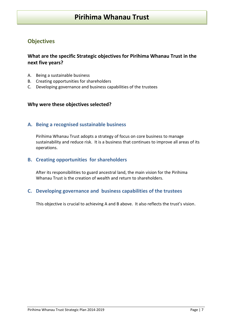### <span id="page-6-0"></span>**Objectives**

#### **What are the specific Strategic objectives for Pirihima Whanau Trust in the next five years?**

- A. Being a sustainable business
- B. Creating opportunities for shareholders
- C. Developing governance and business capabilities of the trustees

#### **Why were these objectives selected?**

#### **A. Being a recognised sustainable business**

Pirihima Whanau Trust adopts a strategy of focus on core business to manage sustainability and reduce risk. It is a business that continues to improve all areas of its operations.

#### **B. Creating opportunities for shareholders**

After its responsibilities to guard ancestral land, the main vision for the Pirihima Whanau Trust is the creation of wealth and return to shareholders.

#### **C. Developing governance and business capabilities of the trustees**

This objective is crucial to achieving A and B above. It also reflects the trust's vision.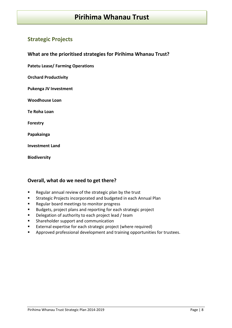### <span id="page-7-0"></span>**Strategic Projects**

**What are the prioritised strategies for Pirihima Whanau Trust?**

**Patetu Lease/ Farming Operations**

**Orchard Productivity**

**Pukenga JV Investment**

**Woodhouse Loan**

**Te Roha Loan**

**Forestry**

**Papakainga**

**Investment Land**

**Biodiversity**

#### **Overall, what do we need to get there?**

- Regular annual review of the strategic plan by the trust
- **Strategic Projects incorporated and budgeted in each Annual Plan**
- **Regular board meetings to monitor progress**
- Budgets, project plans and reporting for each strategic project
- Delegation of authority to each project lead / team
- Shareholder support and communication
- External expertise for each strategic project (where required)
- **Approved professional development and training opportunities for trustees.**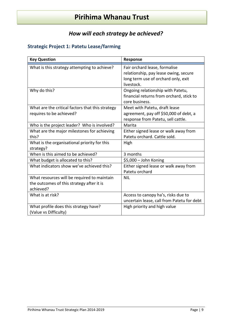# *How will each strategy be achieved?*

# <span id="page-8-0"></span>**Strategic Project 1: Patetu Lease/farming**

| <b>Key Question</b>                                                                                   | Response                                                                                                                    |
|-------------------------------------------------------------------------------------------------------|-----------------------------------------------------------------------------------------------------------------------------|
| What is this strategy attempting to achieve?                                                          | Fair orchard lease, formalise<br>relationship, pay lease owing, secure<br>long term use of orchard only, exit<br>livestock. |
| Why do this?                                                                                          | Ongoing relationship with Patetu,<br>financial returns from orchard, stick to<br>core business.                             |
| What are the critical factors that this strategy<br>requires to be achieved?                          | Meet with Patetu, draft lease<br>agreement, pay off \$50,000 of debt, a<br>response from Patetu, sell cattle.               |
| Who is the project leader? Who is involved?                                                           | Marita                                                                                                                      |
| What are the major milestones for achieving<br>this?                                                  | Either signed lease or walk away from<br>Patetu orchard. Cattle sold.                                                       |
| What is the organisational priority for this<br>strategy?                                             | High                                                                                                                        |
| When is this aimed to be achieved?                                                                    | 3 months                                                                                                                    |
| What budget is allocated to this?                                                                     | \$5,000 - John Koning                                                                                                       |
| What indicators show we've achieved this?                                                             | Either signed lease or walk away from<br>Patetu orchard                                                                     |
| What resources will be required to maintain<br>the outcomes of this strategy after it is<br>achieved? | <b>NIL</b>                                                                                                                  |
| What is at risk?                                                                                      | Access to canopy ha's, risks due to<br>uncertain lease, call from Patetu for debt                                           |
| What profile does this strategy have?<br>(Value vs Difficulty)                                        | High priority and high value                                                                                                |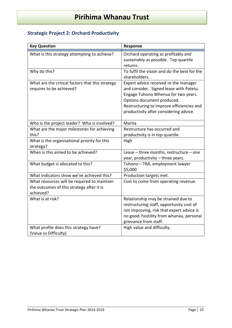# <span id="page-9-0"></span>**Strategic Project 2: Orchard Productivity**

| Orchard operating as profitably and                                                                                                                                                                                                          |
|----------------------------------------------------------------------------------------------------------------------------------------------------------------------------------------------------------------------------------------------|
| sustainably as possible. Top quartile<br>returns.                                                                                                                                                                                            |
| To fulfil the vision and do the best for the<br>shareholders.                                                                                                                                                                                |
| Expert advice received re the manager<br>and consider. Signed lease with Patetu.<br>Engage Tuhono Whenua for two years.<br>Options document produced.<br>Restructuring to improve efficiencies and<br>productivity after considering advice. |
| Marita                                                                                                                                                                                                                                       |
| Restructure has occurred and                                                                                                                                                                                                                 |
| productivity is in top quartile.                                                                                                                                                                                                             |
|                                                                                                                                                                                                                                              |
| Lease - three months, restructure - one<br>year, productivity - three years.                                                                                                                                                                 |
| Tuhono - TBA, employment lawyer<br>\$5,000                                                                                                                                                                                                   |
| Production targets met.                                                                                                                                                                                                                      |
| Cost to come from operating revenue.                                                                                                                                                                                                         |
| Relationship may be strained due to<br>restructuring staff, opportunity cost of<br>not improving, risk that expert advice is<br>no good, hostility from whanau, personal<br>grievance from staff.                                            |
| High value and difficulty.                                                                                                                                                                                                                   |
|                                                                                                                                                                                                                                              |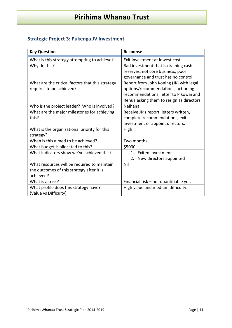### <span id="page-10-0"></span>**Strategic Project 3: Pukenga JV Investment**

| <b>Key Question</b>                              | Response                                  |
|--------------------------------------------------|-------------------------------------------|
| What is this strategy attempting to achieve?     | Exit investment at lowest cost.           |
| Why do this?                                     | Bad investment that is draining cash      |
|                                                  | reserves, not core business, poor         |
|                                                  | governance and trust has no control.      |
| What are the critical factors that this strategy | Report from John Koning (JK) with legal   |
| requires to be achieved?                         | options/recommendations, actioning        |
|                                                  | recommendations, letter to Pikowai and    |
|                                                  | Rehua asking them to resign as directors. |
| Who is the project leader? Who is involved?      | Neihana                                   |
| What are the major milestones for achieving      | Receive JK's report, letters written,     |
| this?                                            | complete recommendations, exit            |
|                                                  | investment or appoint directors.          |
| What is the organisational priority for this     | High                                      |
| strategy?                                        |                                           |
| When is this aimed to be achieved?               | Two months                                |
| What budget is allocated to this?                | \$5000                                    |
| What indicators show we've achieved this?        | <b>Exited investment</b><br>1.            |
|                                                  | 2.<br>New directors appointed             |
| What resources will be required to maintain      | Nil                                       |
| the outcomes of this strategy after it is        |                                           |
| achieved?                                        |                                           |
| What is at risk?                                 | Financial risk - not quantifiable yet.    |
| What profile does this strategy have?            | High value and medium difficulty.         |
| (Value vs Difficulty)                            |                                           |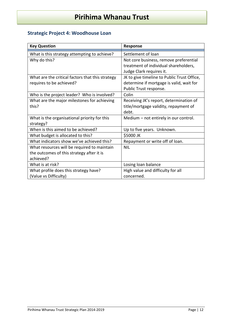# <span id="page-11-0"></span>**Strategic Project 4: Woodhouse Loan**

| <b>Key Question</b>                              | Response                                    |
|--------------------------------------------------|---------------------------------------------|
| What is this strategy attempting to achieve?     | Settlement of loan                          |
| Why do this?                                     | Not core business, remove preferential      |
|                                                  | treatment of individual shareholders,       |
|                                                  | Judge Clark requires it.                    |
| What are the critical factors that this strategy | JK to give timeline to Public Trust Office, |
| requires to be achieved?                         | determine if mortgage is valid, wait for    |
|                                                  | Public Trust response.                      |
| Who is the project leader? Who is involved?      | Colin                                       |
| What are the major milestones for achieving      | Receiving JK's report, determination of     |
| this?                                            | title/mortgage validity, repayment of       |
|                                                  | debt.                                       |
| What is the organisational priority for this     | Medium - not entirely in our control.       |
| strategy?                                        |                                             |
| When is this aimed to be achieved?               | Up to five years. Unknown.                  |
| What budget is allocated to this?                | \$5000 JK                                   |
| What indicators show we've achieved this?        | Repayment or write off of loan.             |
| What resources will be required to maintain      | <b>NIL</b>                                  |
| the outcomes of this strategy after it is        |                                             |
| achieved?                                        |                                             |
| What is at risk?                                 | Losing loan balance                         |
| What profile does this strategy have?            | High value and difficulty for all           |
| (Value vs Difficulty)                            | concerned.                                  |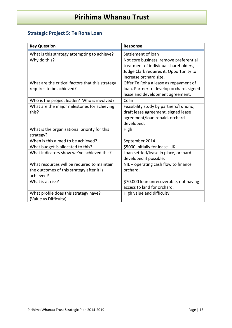# <span id="page-12-0"></span>**Strategic Project 5: Te Roha Loan**

| <b>Key Question</b>                                       | <b>Response</b>                                                                 |
|-----------------------------------------------------------|---------------------------------------------------------------------------------|
| What is this strategy attempting to achieve?              | Settlement of loan                                                              |
| Why do this?                                              | Not core business, remove preferential<br>treatment of individual shareholders, |
|                                                           | Judge Clark requires it. Opportunity to<br>increase orchard size.               |
| What are the critical factors that this strategy          | Offer Te Roha a lease as repayment of                                           |
| requires to be achieved?                                  | loan. Partner to develop orchard, signed                                        |
|                                                           | lease and development agreement.                                                |
| Who is the project leader? Who is involved?               | Colin                                                                           |
| What are the major milestones for achieving               | Feasibility study by partners/Tuhono,                                           |
| this?                                                     | draft lease agreement, signed lease                                             |
|                                                           | agreement/loan repaid, orchard                                                  |
|                                                           | developed.                                                                      |
| What is the organisational priority for this<br>strategy? | High                                                                            |
| When is this aimed to be achieved?                        | September 2014                                                                  |
| What budget is allocated to this?                         | \$5000 initially for lease - JK                                                 |
| What indicators show we've achieved this?                 | Loan settled/lease in place, orchard<br>developed if possible.                  |
| What resources will be required to maintain               | NIL - operating cash flow to finance                                            |
| the outcomes of this strategy after it is                 | orchard.                                                                        |
| achieved?                                                 |                                                                                 |
| What is at risk?                                          | \$70,000 loan unrecoverable, not having                                         |
|                                                           | access to land for orchard.                                                     |
| What profile does this strategy have?                     | High value and difficulty.                                                      |
| (Value vs Difficulty)                                     |                                                                                 |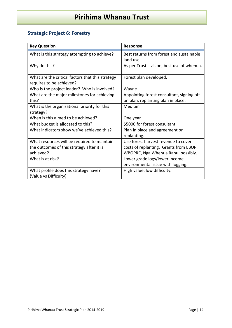# <span id="page-13-0"></span>**Strategic Project 6: Forestry**

| <b>Key Question</b>                                                          | Response                                                            |
|------------------------------------------------------------------------------|---------------------------------------------------------------------|
| What is this strategy attempting to achieve?                                 | Best returns from forest and sustainable<br>land use.               |
| Why do this?                                                                 | As per Trust's vision, best use of whenua.                          |
| What are the critical factors that this strategy<br>requires to be achieved? | Forest plan developed.                                              |
| Who is the project leader? Who is involved?                                  | Wayne                                                               |
| What are the major milestones for achieving                                  | Appointing forest consultant, signing off                           |
| this?                                                                        | on plan, replanting plan in place.                                  |
| What is the organisational priority for this                                 | Medium                                                              |
| strategy?                                                                    |                                                                     |
| When is this aimed to be achieved?                                           | One year                                                            |
| What budget is allocated to this?                                            | \$5000 for forest consultant                                        |
| What indicators show we've achieved this?                                    | Plan in place and agreement on<br>replanting.                       |
| What resources will be required to maintain                                  | Use forest harvest revenue to cover                                 |
| the outcomes of this strategy after it is                                    | costs of replanting. Grants from EBOP,                              |
| achieved?                                                                    | WBOPRC, Nga Whenua Rahui possibly.                                  |
| What is at risk?                                                             | Lower grade logs/lower income,<br>environmental issue with logging. |
| What profile does this strategy have?<br>(Value vs Difficulty)               | High value, low difficulty.                                         |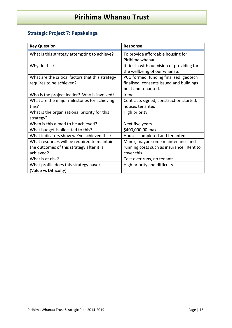# <span id="page-14-0"></span>**Strategic Project 7: Papakainga**

| <b>Key Question</b>                              | Response                                    |
|--------------------------------------------------|---------------------------------------------|
| What is this strategy attempting to achieve?     | To provide affordable housing for           |
|                                                  | Pirihima whanau.                            |
| Why do this?                                     | It ties in with our vision of providing for |
|                                                  | the wellbeing of our whanau.                |
| What are the critical factors that this strategy | PCG formed, funding finalised, geotech      |
| requires to be achieved?                         | finalised, consents issued and buildings    |
|                                                  | built and tenanted.                         |
| Who is the project leader? Who is involved?      | Irene                                       |
| What are the major milestones for achieving      | Contracts signed, construction started,     |
| this?                                            | houses tenanted.                            |
| What is the organisational priority for this     | High priority.                              |
| strategy?                                        |                                             |
| When is this aimed to be achieved?               | Next five years.                            |
| What budget is allocated to this?                | \$400,000.00 max                            |
| What indicators show we've achieved this?        | Houses completed and tenanted.              |
| What resources will be required to maintain      | Minor, maybe some maintenance and           |
| the outcomes of this strategy after it is        | running costs such as insurance. Rent to    |
| achieved?                                        | cover this.                                 |
| What is at risk?                                 | Cost over runs, no tenants.                 |
| What profile does this strategy have?            | High priority and difficulty.               |
| (Value vs Difficulty)                            |                                             |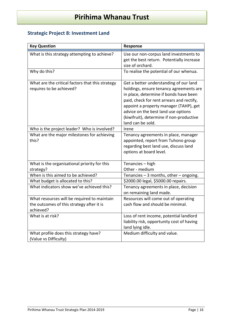# <span id="page-15-0"></span>**Strategic Project 8: Investment Land**

| <b>Key Question</b>                                                                                   | Response                                                                                                                                                                                                                                                                                                                   |
|-------------------------------------------------------------------------------------------------------|----------------------------------------------------------------------------------------------------------------------------------------------------------------------------------------------------------------------------------------------------------------------------------------------------------------------------|
| What is this strategy attempting to achieve?                                                          | Use our non-corpus land investments to<br>get the best return. Potentially increase<br>size of orchard.                                                                                                                                                                                                                    |
| Why do this?                                                                                          | To realise the potential of our whenua.                                                                                                                                                                                                                                                                                    |
| What are the critical factors that this strategy<br>requires to be achieved?                          | Get a better understanding of our land<br>holdings, ensure tenancy agreements are<br>in place, determine if bonds have been<br>paid, check for rent arrears and rectify,<br>appoint a property manager (TAHP), get<br>advice on the best land use options<br>(kiwifruit), determine if non-productive<br>land can be sold. |
| Who is the project leader? Who is involved?                                                           | Irene                                                                                                                                                                                                                                                                                                                      |
| What are the major milestones for achieving<br>this?                                                  | Tenancy agreements in place, manager<br>appointed, report from Tuhono group<br>regarding best land use, discuss land<br>options at board level.                                                                                                                                                                            |
| What is the organisational priority for this<br>strategy?                                             | Tenancies - high<br>Other - medium                                                                                                                                                                                                                                                                                         |
| When is this aimed to be achieved?                                                                    | Tenancies - 3 months, other - ongoing.                                                                                                                                                                                                                                                                                     |
| What budget is allocated to this?                                                                     | \$2000.00 legal, \$5000.00 repairs.                                                                                                                                                                                                                                                                                        |
| What indicators show we've achieved this?                                                             | Tenancy agreements in place, decision<br>on remaining land made.                                                                                                                                                                                                                                                           |
| What resources will be required to maintain<br>the outcomes of this strategy after it is<br>achieved? | Resources will come out of operating<br>cash flow and should be minimal.                                                                                                                                                                                                                                                   |
| What is at risk?                                                                                      | Loss of rent income, potential landlord<br>liability risk, opportunity cost of having<br>land lying idle.                                                                                                                                                                                                                  |
| What profile does this strategy have?<br>(Value vs Difficulty)                                        | Medium difficulty and value.                                                                                                                                                                                                                                                                                               |